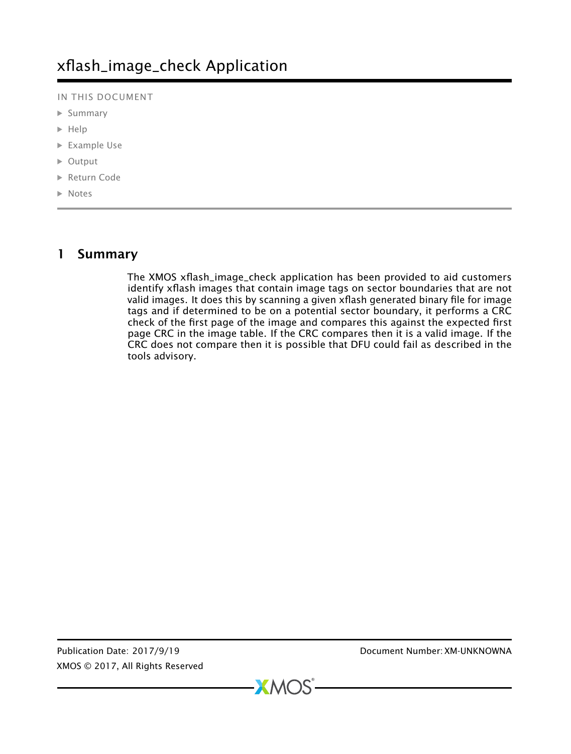IN THIS DOCUMENT

- · [Summary](#page-0-0)
- $\blacktriangleright$  [Help](#page-1-0)
- · [Example Use](#page-1-1)
- · [Output](#page-1-2)
- · [Return Code](#page-2-0)
- · [Notes](#page-2-1)

# 1 Summary

<span id="page-0-0"></span>The XMOS xflash\_image\_check application has been provided to aid customers identify xflash images that contain image tags on sector boundaries that are not valid images. It does this by scanning a given xflash generated binary file for image tags and if determined to be on a potential sector boundary, it performs a CRC check of the first page of the image and compares this against the expected first page CRC in the image table. If the CRC compares then it is a valid image. If the CRC does not compare then it is possible that DFU could fail as described in the tools advisory.

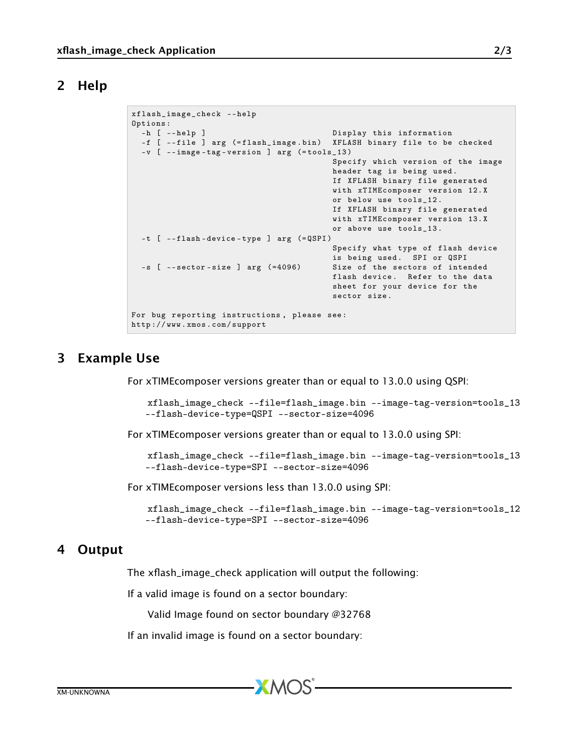## 2 Help

```
xflash_image_check -- help
Options :
 -h [ --help ] Display this information
 -f [ --file ] arg (=flash_image.bin) XFLASH binary file to be checked
 -v [ -- image - tag - version ] arg (= tools_13 )
                                          Specify which version of the image
                                          header tag is being used .
                                          If XFLASH binary file generated
                                          with xTIMEcomposer version 12. X
                                          or below use tools_12 .
                                          If XFLASH binary file generated
                                          with xTIMEcomposer version 13. X
                                          or above use tools_13 .
  -t [ -- flash - device - type ] arg (= QSPI )
                                          Specify what type of flash device
                                          is being used. SPI or QSPI<br>Size of the sectors of intended
  -s [ -- sector -size ] arg (=4096)
                                          flash device. Refer to the data
                                          sheet for your device for the
                                          sector size .
For bug reporting instructions , please see :
http :// www . xmos . com / support
```
## 3 Example Use

<span id="page-1-1"></span>For xTIMEcomposer versions greater than or equal to 13.0.0 using QSPI:

```
xflash_image_check --file=flash_image.bin --image-tag-version=tools_13
--flash-device-type=QSPI --sector-size=4096
```
For xTIMEcomposer versions greater than or equal to 13.0.0 using SPI:

```
xflash_image_check --file=flash_image.bin --image-tag-version=tools_13
--flash-device-type=SPI --sector-size=4096
```
For xTIMEcomposer versions less than 13.0.0 using SPI:

```
xflash_image_check --file=flash_image.bin --image-tag-version=tools_12
--flash-device-type=SPI --sector-size=4096
```
## 4 Output

The xflash\_image\_check application will output the following:

If a valid image is found on a sector boundary:

Valid Image found on sector boundary @32768

If an invalid image is found on a sector boundary: